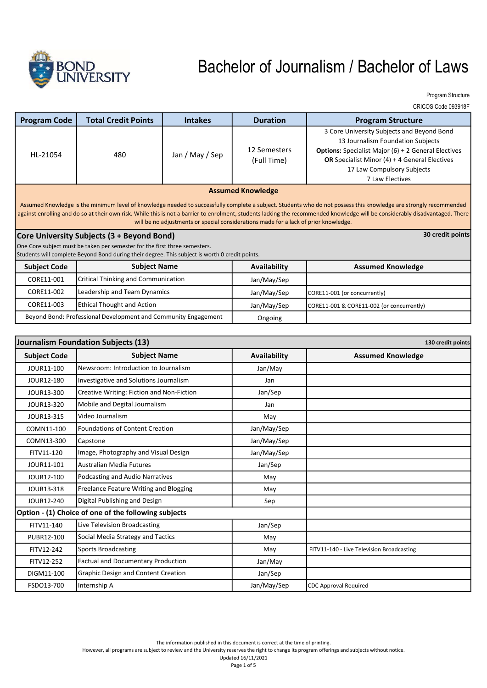

Program Structure

CRICOS Code 093918F

| <b>Program Code</b>                                                                                                                                                                                                                                                                                                                                                                                                                         | <b>Total Credit Points</b>                 | <b>Intakes</b>  | <b>Duration</b>             | <b>Program Structure</b>                                                                                                                                                                                                                                        |  |
|---------------------------------------------------------------------------------------------------------------------------------------------------------------------------------------------------------------------------------------------------------------------------------------------------------------------------------------------------------------------------------------------------------------------------------------------|--------------------------------------------|-----------------|-----------------------------|-----------------------------------------------------------------------------------------------------------------------------------------------------------------------------------------------------------------------------------------------------------------|--|
| HL-21054                                                                                                                                                                                                                                                                                                                                                                                                                                    | 480                                        | Jan / May / Sep | 12 Semesters<br>(Full Time) | 3 Core University Subjects and Beyond Bond<br>13 Journalism Foundation Subjects<br><b>Options:</b> Specialist Major (6) + 2 General Electives<br><b>OR</b> Specialist Minor $(4) + 4$ General Electives<br>17 Law Compulsory Subjects<br><b>7 Law Electives</b> |  |
| <b>Assumed Knowledge</b>                                                                                                                                                                                                                                                                                                                                                                                                                    |                                            |                 |                             |                                                                                                                                                                                                                                                                 |  |
| Assumed Knowledge is the minimum level of knowledge needed to successfully complete a subject. Students who do not possess this knowledge are strongly recommended<br>against enrolling and do so at their own risk. While this is not a barrier to enrolment, students lacking the recommended knowledge will be considerably disadvantaged. There<br>will be no adjustments or special considerations made for a lack of prior knowledge. |                                            |                 |                             |                                                                                                                                                                                                                                                                 |  |
| Core University Subjects (3 + Beyond Bond)                                                                                                                                                                                                                                                                                                                                                                                                  |                                            |                 |                             | 30 credit points                                                                                                                                                                                                                                                |  |
| One Core subject must be taken per semester for the first three semesters.                                                                                                                                                                                                                                                                                                                                                                  |                                            |                 |                             |                                                                                                                                                                                                                                                                 |  |
| Students will complete Beyond Bond during their degree. This subject is worth 0 credit points.                                                                                                                                                                                                                                                                                                                                              |                                            |                 |                             |                                                                                                                                                                                                                                                                 |  |
| <b>Subject Code</b>                                                                                                                                                                                                                                                                                                                                                                                                                         | <b>Subject Name</b>                        |                 | Availability                | <b>Assumed Knowledge</b>                                                                                                                                                                                                                                        |  |
| CORE11-001                                                                                                                                                                                                                                                                                                                                                                                                                                  | <b>Critical Thinking and Communication</b> |                 | Jan/May/Sep                 |                                                                                                                                                                                                                                                                 |  |
| CORE11-002                                                                                                                                                                                                                                                                                                                                                                                                                                  | Leadership and Team Dynamics               |                 | Jan/May/Sep                 | CORE11-001 (or concurrently)                                                                                                                                                                                                                                    |  |
| CORE11-003                                                                                                                                                                                                                                                                                                                                                                                                                                  | <b>Ethical Thought and Action</b>          |                 | Jan/May/Sep                 | CORE11-001 & CORE11-002 (or concurrently)                                                                                                                                                                                                                       |  |
| Beyond Bond: Professional Development and Community Engagement                                                                                                                                                                                                                                                                                                                                                                              |                                            |                 | Ongoing                     |                                                                                                                                                                                                                                                                 |  |

Ongoing

|                     | Journalism Foundation Subjects (13)                  | 130 credit points |                                           |
|---------------------|------------------------------------------------------|-------------------|-------------------------------------------|
| <b>Subject Code</b> | <b>Subject Name</b>                                  | Availability      | <b>Assumed Knowledge</b>                  |
| JOUR11-100          | Newsroom: Introduction to Journalism                 | Jan/May           |                                           |
| JOUR12-180          | Investigative and Solutions Journalism               | Jan               |                                           |
| JOUR13-300          | Creative Writing: Fiction and Non-Fiction            | Jan/Sep           |                                           |
| JOUR13-320          | Mobile and Degital Journalism                        | Jan               |                                           |
| JOUR13-315          | Video Journalism                                     | May               |                                           |
| COMN11-100          | <b>Foundations of Content Creation</b>               | Jan/May/Sep       |                                           |
| COMN13-300          | Capstone                                             | Jan/May/Sep       |                                           |
| FITV11-120          | Image, Photography and Visual Design                 | Jan/May/Sep       |                                           |
| JOUR11-101          | Australian Media Futures                             | Jan/Sep           |                                           |
| JOUR12-100          | Podcasting and Audio Narratives                      | May               |                                           |
| JOUR13-318          | Freelance Feature Writing and Blogging               | May               |                                           |
| JOUR12-240          | Digital Publishing and Design                        | Sep               |                                           |
|                     | Option - (1) Choice of one of the following subjects |                   |                                           |
| FITV11-140          | Live Television Broadcasting                         | Jan/Sep           |                                           |
| PUBR12-100          | Social Media Strategy and Tactics                    | May               |                                           |
| FITV12-242          | <b>Sports Broadcasting</b>                           | May               | FITV11-140 - Live Television Broadcasting |
| FITV12-252          | <b>Factual and Documentary Production</b>            | Jan/May           |                                           |
| DIGM11-100          | <b>Graphic Design and Content Creation</b>           | Jan/Sep           |                                           |
| FSDO13-700          | Internship A                                         | Jan/May/Sep       | <b>CDC Approval Required</b>              |

The information published in this document is correct at the time of printing.

However, all programs are subject to review and the University reserves the right to change its program offerings and subjects without notice.

Updated 16/11/2021 Page 1 of 5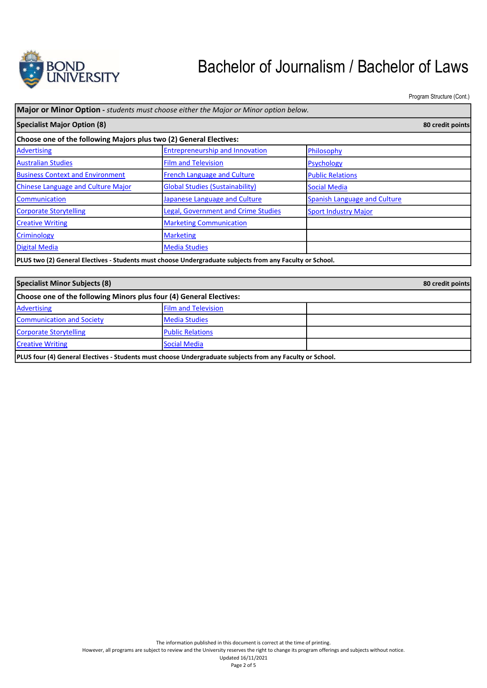

Program Structure (Cont.)

| Specialist Major Option (8)                                        |                                            |                                     | 80 credit points |
|--------------------------------------------------------------------|--------------------------------------------|-------------------------------------|------------------|
|                                                                    |                                            |                                     |                  |
| Choose one of the following Majors plus two (2) General Electives: |                                            |                                     |                  |
| <b>Advertising</b>                                                 | <b>Entrepreneurship and Innovation</b>     | Philosophy                          |                  |
| <b>Australian Studies</b>                                          | <b>Film and Television</b>                 | <b>Psychology</b>                   |                  |
| <b>Business Context and Environment</b>                            | <b>French Language and Culture</b>         | <b>Public Relations</b>             |                  |
| <b>Chinese Language and Culture Major</b>                          | <b>Global Studies (Sustainability)</b>     | <b>Social Media</b>                 |                  |
| <b>Communication</b>                                               | Japanese Language and Culture              | <b>Spanish Language and Culture</b> |                  |
| Corporate Storytelling                                             | <b>Legal, Government and Crime Studies</b> | <b>Sport Industry Major</b>         |                  |
| <b>Creative Writing</b>                                            | <b>Marketing Communication</b>             |                                     |                  |
| <b>Criminology</b>                                                 | <b>Marketing</b>                           |                                     |                  |
| Digital Media                                                      | <b>Media Studies</b>                       |                                     |                  |

| Specialist Minor Subjects (8)                                                                             |                            |  |
|-----------------------------------------------------------------------------------------------------------|----------------------------|--|
| Choose one of the following Minors plus four (4) General Electives:                                       |                            |  |
| <b>Advertising</b>                                                                                        | <b>Film and Television</b> |  |
| <b>Communication and Society</b>                                                                          | <b>Media Studies</b>       |  |
| Corporate Storytelling                                                                                    | <b>Public Relations</b>    |  |
| <b>Creative Writing</b>                                                                                   | Social Media               |  |
| PLUS four (4) General Electives - Students must choose Undergraduate subjects from any Faculty or School. |                            |  |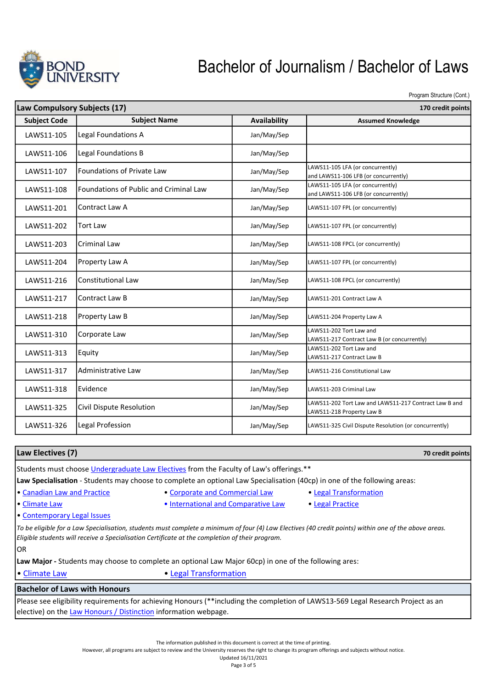

Program Structure (Cont.)

| Law Compulsory Subjects (17) |                                               |                     | 170 credit points                                                                  |
|------------------------------|-----------------------------------------------|---------------------|------------------------------------------------------------------------------------|
| <b>Subject Code</b>          | <b>Subject Name</b>                           | <b>Availability</b> | <b>Assumed Knowledge</b>                                                           |
| LAWS11-105                   | Legal Foundations A                           | Jan/May/Sep         |                                                                                    |
| LAWS11-106                   | Legal Foundations B                           | Jan/May/Sep         |                                                                                    |
| LAWS11-107                   | Foundations of Private Law                    | Jan/May/Sep         | LAWS11-105 LFA (or concurrently)<br>and LAWS11-106 LFB (or concurrently)           |
| LAWS11-108                   | <b>Foundations of Public and Criminal Law</b> | Jan/May/Sep         | LAWS11-105 LFA (or concurrently)<br>and LAWS11-106 LFB (or concurrently)           |
| LAWS11-201                   | Contract Law A                                | Jan/May/Sep         | LAWS11-107 FPL (or concurrently)                                                   |
| LAWS11-202                   | <b>Tort Law</b>                               | Jan/May/Sep         | LAWS11-107 FPL (or concurrently)                                                   |
| LAWS11-203                   | Criminal Law                                  | Jan/May/Sep         | LAWS11-108 FPCL (or concurrently)                                                  |
| LAWS11-204                   | Property Law A                                | Jan/May/Sep         | LAWS11-107 FPL (or concurrently)                                                   |
| LAWS11-216                   | <b>Constitutional Law</b>                     | Jan/May/Sep         | LAWS11-108 FPCL (or concurrently)                                                  |
| LAWS11-217                   | Contract Law B                                | Jan/May/Sep         | LAWS11-201 Contract Law A                                                          |
| LAWS11-218                   | Property Law B                                | Jan/May/Sep         | LAWS11-204 Property Law A                                                          |
| LAWS11-310                   | Corporate Law                                 | Jan/May/Sep         | LAWS11-202 Tort Law and<br>LAWS11-217 Contract Law B (or concurrently)             |
| LAWS11-313                   | Equity                                        | Jan/May/Sep         | LAWS11-202 Tort Law and<br>LAWS11-217 Contract Law B                               |
| LAWS11-317                   | Administrative Law                            | Jan/May/Sep         | LAWS11-216 Constitutional Law                                                      |
| LAWS11-318                   | Evidence                                      | Jan/May/Sep         | LAWS11-203 Criminal Law                                                            |
| LAWS11-325                   | Civil Dispute Resolution                      | Jan/May/Sep         | LAWS11-202 Tort Law and LAWS11-217 Contract Law B and<br>LAWS11-218 Property Law B |
| LAWS11-326                   | Legal Profession                              | Jan/May/Sep         | LAWS11-325 Civil Dispute Resolution (or concurrently)                              |
|                              |                                               |                     |                                                                                    |

| Law Electives (7)                                                                                                                                                                                                                                        |                                     | 70 credit points       |  |  |
|----------------------------------------------------------------------------------------------------------------------------------------------------------------------------------------------------------------------------------------------------------|-------------------------------------|------------------------|--|--|
| Students must choose Undergraduate Law Electives from the Faculty of Law's offerings.**                                                                                                                                                                  |                                     |                        |  |  |
| Law Specialisation - Students may choose to complete an optional Law Specialisation (40cp) in one of the following areas:                                                                                                                                |                                     |                        |  |  |
| • Canadian Law and Practice                                                                                                                                                                                                                              | • Corporate and Commercial Law      | • Legal Transformation |  |  |
| • Climate Law                                                                                                                                                                                                                                            | • International and Comparative Law | • Legal Practice       |  |  |
| • Contemporary Legal Issues                                                                                                                                                                                                                              |                                     |                        |  |  |
| To be eligible for a Law Specialisation, students must complete a minimum of four (4) Law Electives (40 credit points) within one of the above areas.<br>Eligible students will receive a Specialisation Certificate at the completion of their program. |                                     |                        |  |  |
| OR.                                                                                                                                                                                                                                                      |                                     |                        |  |  |
| Law Major - Students may choose to complete an optional Law Major 60cp) in one of the following ares:                                                                                                                                                    |                                     |                        |  |  |
| • Climate Law                                                                                                                                                                                                                                            | • Legal Transformation              |                        |  |  |
| <b>Bachelor of Laws with Honours</b>                                                                                                                                                                                                                     |                                     |                        |  |  |
| Please see eligibility requirements for achieving Honours (**including the completion of LAWS13-569 Legal Research Project as an                                                                                                                         |                                     |                        |  |  |

elective) on the Law Honours / Distinction information webpage.

The information published in this document is correct at the time of printing.

However, all programs are subject to review and the University reserves the right to change its program offerings and subjects without notice. Updated 16/11/2021

Page 3 of 5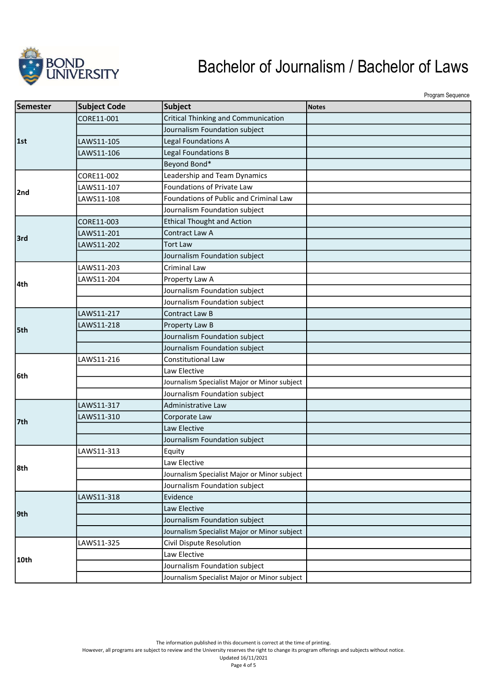

Program Sequence

| Semester | <b>Subject Code</b> | <b>Subject</b>                               | <b>Notes</b> |
|----------|---------------------|----------------------------------------------|--------------|
|          | CORE11-001          | Critical Thinking and Communication          |              |
|          |                     | Journalism Foundation subject                |              |
| 1st      | LAWS11-105          | Legal Foundations A                          |              |
|          | LAWS11-106          | Legal Foundations B                          |              |
|          |                     | Beyond Bond*                                 |              |
|          | CORE11-002          | Leadership and Team Dynamics                 |              |
|          | LAWS11-107          | Foundations of Private Law                   |              |
| 2nd      | LAWS11-108          | Foundations of Public and Criminal Law       |              |
|          |                     | Journalism Foundation subject                |              |
|          | CORE11-003          | <b>Ethical Thought and Action</b>            |              |
| 3rd      | LAWS11-201          | Contract Law A                               |              |
|          | LAWS11-202          | <b>Tort Law</b>                              |              |
|          |                     | Journalism Foundation subject                |              |
|          | LAWS11-203          | <b>Criminal Law</b>                          |              |
| 4th      | LAWS11-204          | Property Law A                               |              |
|          |                     | Journalism Foundation subject                |              |
|          |                     | Journalism Foundation subject                |              |
|          | LAWS11-217          | Contract Law B                               |              |
|          | LAWS11-218          | Property Law B                               |              |
| 5th      |                     | Journalism Foundation subject                |              |
|          |                     | Journalism Foundation subject                |              |
|          | LAWS11-216          | Constitutional Law                           |              |
| l6th     |                     | Law Elective                                 |              |
|          |                     | Journalism Specialist Major or Minor subject |              |
|          |                     | Journalism Foundation subject                |              |
|          | LAWS11-317          | <b>Administrative Law</b>                    |              |
| 7th      | LAWS11-310          | Corporate Law                                |              |
|          |                     | Law Elective                                 |              |
|          |                     | Journalism Foundation subject                |              |
|          | LAWS11-313          | Equity                                       |              |
| 8th      |                     | Law Elective                                 |              |
|          |                     | Journalism Specialist Major or Minor subject |              |
|          |                     | Journalism Foundation subject                |              |
|          | LAWS11-318          | Evidence                                     |              |
| 9th      |                     | Law Elective                                 |              |
|          |                     | Journalism Foundation subject                |              |
|          |                     | Journalism Specialist Major or Minor subject |              |
|          | LAWS11-325          | Civil Dispute Resolution                     |              |
|          |                     | Law Elective                                 |              |
| 10th     |                     | Journalism Foundation subject                |              |
|          |                     | Journalism Specialist Major or Minor subject |              |

The information published in this document is correct at the time of printing.

However, all programs are subject to review and the University reserves the right to change its program offerings and subjects without notice. Updated 16/11/2021

Page 4 of 5